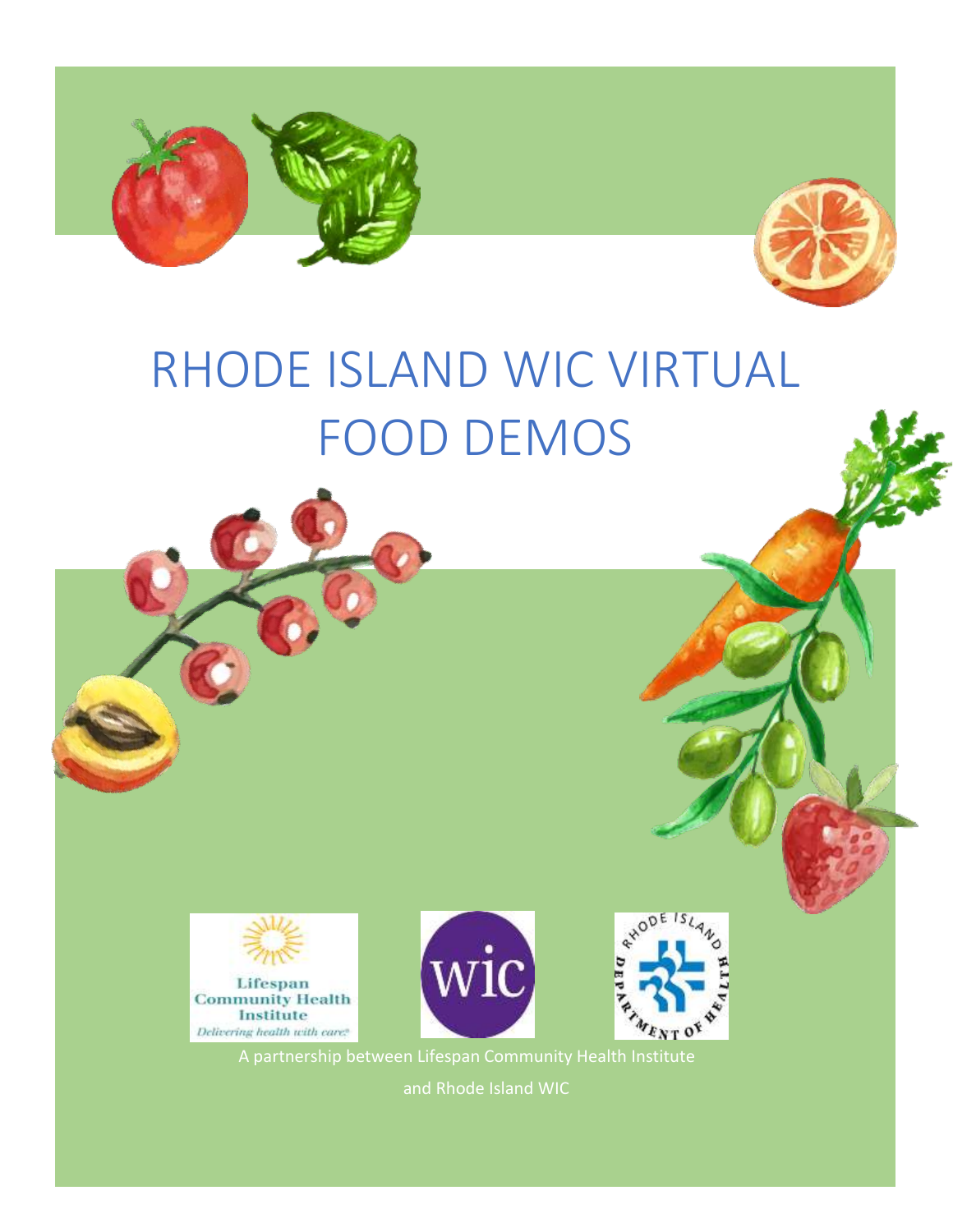



# RHODE ISLAND WIC VIRTUAL FOOD DEMOS







 A partnership between Lifespan Community Health Institute and Rhode Island WIC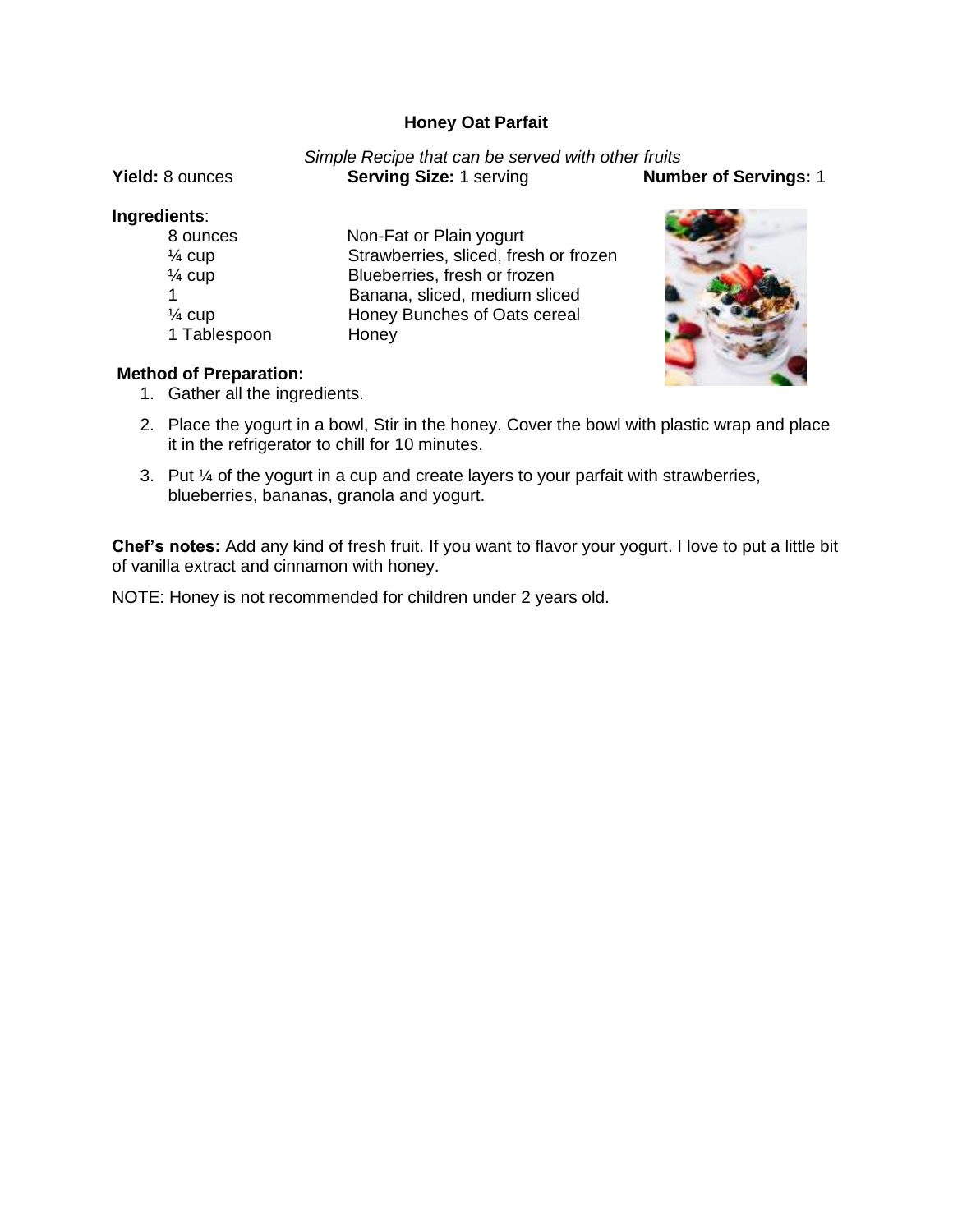# **Honey Oat Parfait**

## *Simple Recipe that can be served with other fruits*  **Yield:** 8 ounces **Serving Size:** 1 serving **Number of Servings:** 1

## **Ingredients**: 8 ounces Non-Fat or Plain yogurt % cup Strawberries, sliced, fresh or frozen<br>
% Cup Blueberries, fresh or frozen Blueberries, fresh or frozen 1 Banana, sliced, medium sliced ¼ cup Honey Bunches of Oats cereal 1 Tablespoon Honey



# **Method of Preparation:**

- 1. Gather all the ingredients.
- 2. Place the yogurt in a bowl, Stir in the honey. Cover the bowl with plastic wrap and place it in the refrigerator to chill for 10 minutes.
- 3. Put ¼ of the yogurt in a cup and create layers to your parfait with strawberries, blueberries, bananas, granola and yogurt.

**Chef's notes:** Add any kind of fresh fruit. If you want to flavor your yogurt. I love to put a little bit of vanilla extract and cinnamon with honey.

NOTE: Honey is not recommended for children under 2 years old.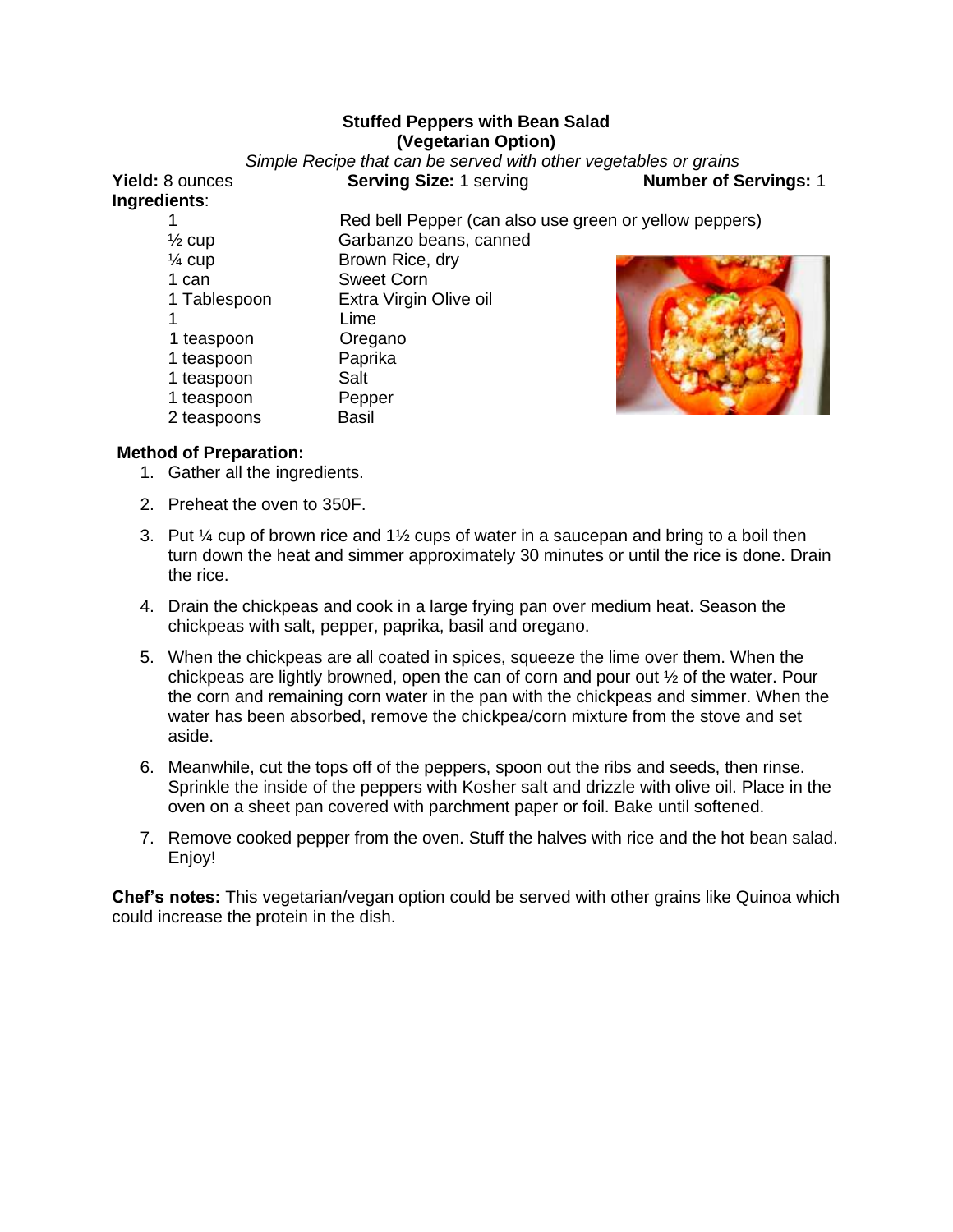## **Stuffed Peppers with Bean Salad (Vegetarian Option)**

*Simple Recipe that can be served with other vegetables or grains* 

**Ingredients**:

**Yield:** 8 ounces **Serving Size:** 1 serving **Number of Servings:** 1

|                   | Red bell Pepper (can also use green or yellow peppers) |  |  |
|-------------------|--------------------------------------------------------|--|--|
| $\frac{1}{2}$ cup | Garbanzo beans, canned                                 |  |  |
| $\frac{1}{4}$ cup | Brown Rice, dry                                        |  |  |
| 1 can             | <b>Sweet Corn</b>                                      |  |  |
| 1 Tablespoon      | Extra Virgin Olive oil                                 |  |  |
|                   | Lime                                                   |  |  |
| 1 teaspoon        | Oregano                                                |  |  |
| 1 teaspoon        | Paprika                                                |  |  |
| 1 teaspoon        | Salt                                                   |  |  |
| 1 teaspoon        | Pepper                                                 |  |  |
| 2 teaspoons       | <b>Basil</b>                                           |  |  |
|                   |                                                        |  |  |

# **Method of Preparation:**

- 1. Gather all the ingredients.
- 2. Preheat the oven to 350F.
- 3. Put  $\frac{1}{4}$  cup of brown rice and 1 $\frac{1}{2}$  cups of water in a saucepan and bring to a boil then turn down the heat and simmer approximately 30 minutes or until the rice is done. Drain the rice.
- 4. Drain the chickpeas and cook in a large frying pan over medium heat. Season the chickpeas with salt, pepper, paprika, basil and oregano.
- 5. When the chickpeas are all coated in spices, squeeze the lime over them. When the chickpeas are lightly browned, open the can of corn and pour out ½ of the water. Pour the corn and remaining corn water in the pan with the chickpeas and simmer. When the water has been absorbed, remove the chickpea/corn mixture from the stove and set aside.
- 6. Meanwhile, cut the tops off of the peppers, spoon out the ribs and seeds, then rinse. Sprinkle the inside of the peppers with Kosher salt and drizzle with olive oil. Place in the oven on a sheet pan covered with parchment paper or foil. Bake until softened.
- 7. Remove cooked pepper from the oven. Stuff the halves with rice and the hot bean salad. Enjoy!

**Chef's notes:** This vegetarian/vegan option could be served with other grains like Quinoa which could increase the protein in the dish.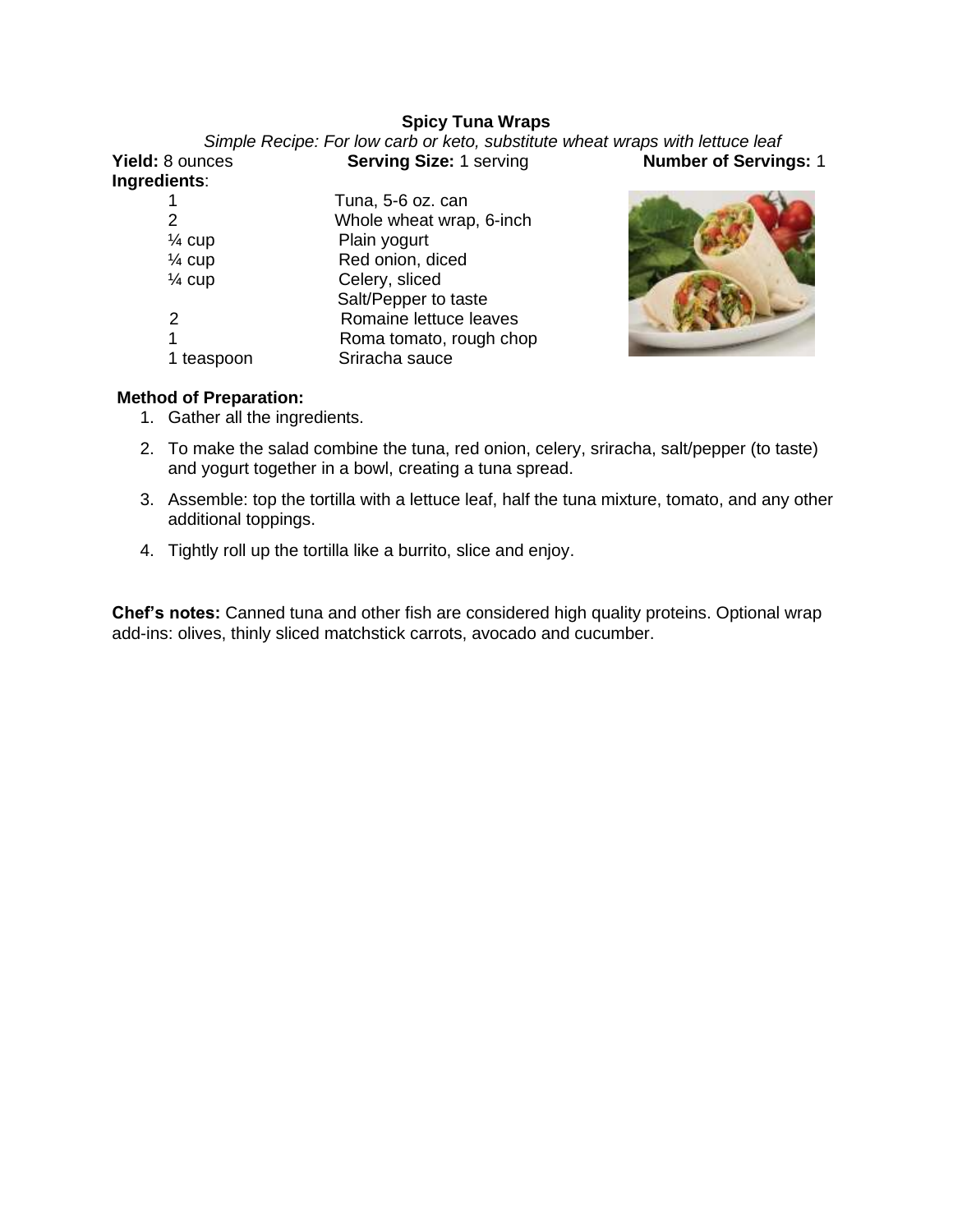## **Spicy Tuna Wraps**

| Camina Cisar 1 convinci<br>$\sim$                                             | Number of Condinact |
|-------------------------------------------------------------------------------|---------------------|
| Simple Recipe: For low carb or keto, substitute wheat wraps with lettuce leaf |                     |

| <b>Yield: 8 ounces</b> |  |
|------------------------|--|
| Ingredients:           |  |

**Serving Size:** 1 serving **Number of Servings:** 1

| 1                 | Tuna, 5-6 oz. can        |
|-------------------|--------------------------|
| 2                 | Whole wheat wrap, 6-inch |
| $\frac{1}{4}$ cup | Plain yogurt             |
| $\frac{1}{4}$ cup | Red onion, diced         |
| $\frac{1}{4}$ cup | Celery, sliced           |
|                   | Salt/Pepper to taste     |
| 2                 | Romaine lettuce leaves   |
| 1                 | Roma tomato, rough chop  |
| 1 teaspoon        | Sriracha sauce           |
|                   |                          |



# **Method of Preparation:**

- 1. Gather all the ingredients.
- 2. To make the salad combine the tuna, red onion, celery, sriracha, salt/pepper (to taste) and yogurt together in a bowl, creating a tuna spread.
- 3. Assemble: top the tortilla with a lettuce leaf, half the tuna mixture, tomato, and any other additional toppings.
- 4. Tightly roll up the tortilla like a burrito, slice and enjoy.

**Chef's notes:** Canned tuna and other fish are considered high quality proteins. Optional wrap add-ins: olives, thinly sliced matchstick carrots, avocado and cucumber.